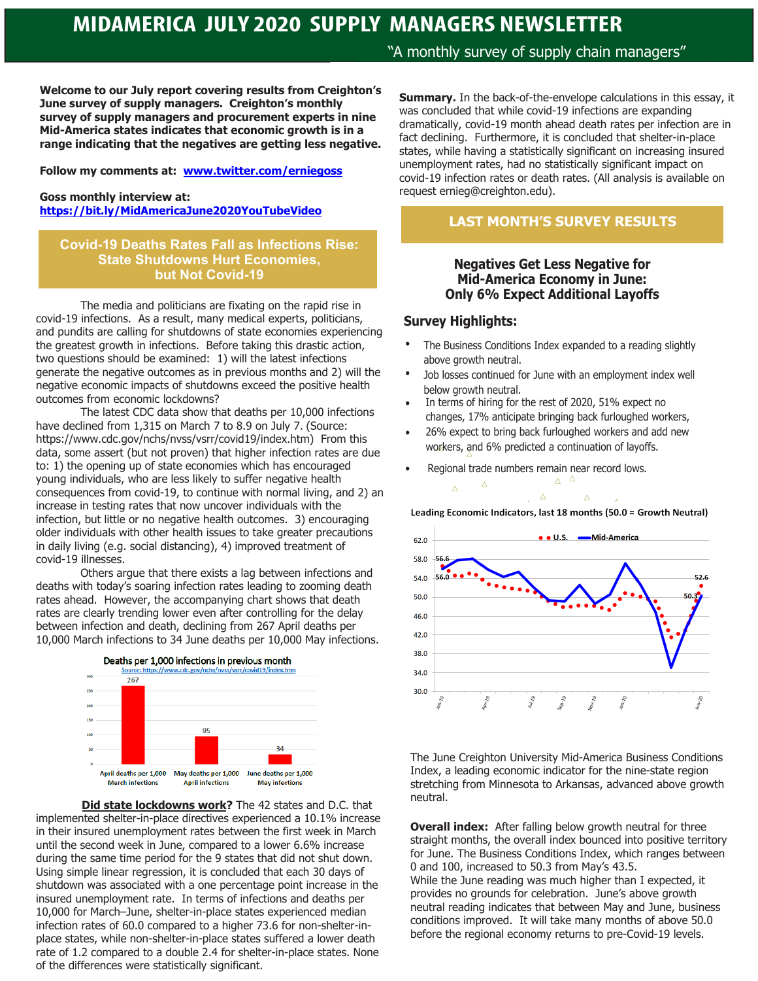## **MIDAMERICA JULY 2020 SUPPLY MANAGERS NEWSLETTER**

**Welcome to our July report covering results from Creighton's June survey of supply managers. Creighton's monthly survey of supply managers and procurement experts in nine Mid-America states indicates that economic growth is in a range indicating that the negatives are getting less negative.** 

**Follow my comments at: www.twitter.com/erniegoss**

#### **Goss monthly interview at: https://bit.ly/MidAmericaJune2020YouTubeVideo**

### **Covid-19 Deaths Rates Fall as Infections Rise: State Shutdowns Hurt Economies, but Not Covid-19**

The media and politicians are fixating on the rapid rise in covid-19 infections. As a result, many medical experts, politicians, and pundits are calling for shutdowns of state economies experiencing the greatest growth in infections. Before taking this drastic action, two questions should be examined: 1) will the latest infections generate the negative outcomes as in previous months and 2) will the negative economic impacts of shutdowns exceed the positive health outcomes from economic lockdowns?

The latest CDC data show that deaths per 10,000 infections have declined from 1,315 on March 7 to 8.9 on July 7. (Source: https://www.cdc.gov/nchs/nvss/vsrr/covid19/index.htm) From this data, some assert (but not proven) that higher infection rates are due to: 1) the opening up of state economies which has encouraged young individuals, who are less likely to suffer negative health consequences from covid-19, to continue with normal living, and 2) an increase in testing rates that now uncover individuals with the infection, but little or no negative health outcomes. 3) encouraging older individuals with other health issues to take greater precautions in daily living (e.g. social distancing), 4) improved treatment of covid-19 illnesses.

Others argue that there exists a lag between infections and deaths with today's soaring infection rates leading to zooming death rates ahead. However, the accompanying chart shows that death rates are clearly trending lower even after controlling for the delay between infection and death, declining from 267 April deaths per 10,000 March infections to 34 June deaths per 10,000 May infections.



 **Did state lockdowns work?** The 42 states and D.C. that implemented shelter-in-place directives experienced a 10.1% increase in their insured unemployment rates between the first week in March until the second week in June, compared to a lower 6.6% increase during the same time period for the 9 states that did not shut down. Using simple linear regression, it is concluded that each 30 days of shutdown was associated with a one percentage point increase in the insured unemployment rate. In terms of infections and deaths per 10,000 for March–June, shelter-in-place states experienced median infection rates of 60.0 compared to a higher 73.6 for non-shelter-inplace states, while non-shelter-in-place states suffered a lower death rate of 1.2 compared to a double 2.4 for shelter-in-place states. None of the differences were statistically significant.

"A monthly survey of supply chain managers"

**Summary.** In the back-of-the-envelope calculations in this essay, it was concluded that while covid-19 infections are expanding dramatically, covid-19 month ahead death rates per infection are in fact declining. Furthermore, it is concluded that shelter-in-place states, while having a statistically significant on increasing insured unemployment rates, had no statistically significant impact on covid-19 infection rates or death rates. (All analysis is available on request ernieg@creighton.edu).

## **LAST MONTH'S SURVEY RESULTS**

### **Negatives Get Less Negative for Mid-America Economy in June: Only 6% Expect Additional Layoffs**

### **Survey Highlights:**

- The Business Conditions Index expanded to a reading slightly above growth neutral.
- Job losses continued for June with an employment index well below growth neutral.
- In terms of hiring for the rest of 2020, 51% expect no changes, 17% anticipate bringing back furloughed workers,
- 26% expect to bring back furloughed workers and add new workers, and 6% predicted a continuation of layoffs.
- Regional trade numbers remain near record lows.

 $\Delta$ 

 $\lambda$  $\Delta$  $\Delta$ Leading Economic Indicators, last 18 months (50.0 = Growth Neutral)



The June Creighton University Mid-America Business Conditions Index, a leading economic indicator for the nine-state region stretching from Minnesota to Arkansas, advanced above growth neutral.

**Overall index:** After falling below growth neutral for three straight months, the overall index bounced into positive territory for June. The Business Conditions Index, which ranges between 0 and 100, increased to 50.3 from May's 43.5.

While the June reading was much higher than I expected, it provides no grounds for celebration. June's above growth neutral reading indicates that between May and June, business conditions improved. It will take many months of above 50.0 before the regional economy returns to pre-Covid-19 levels.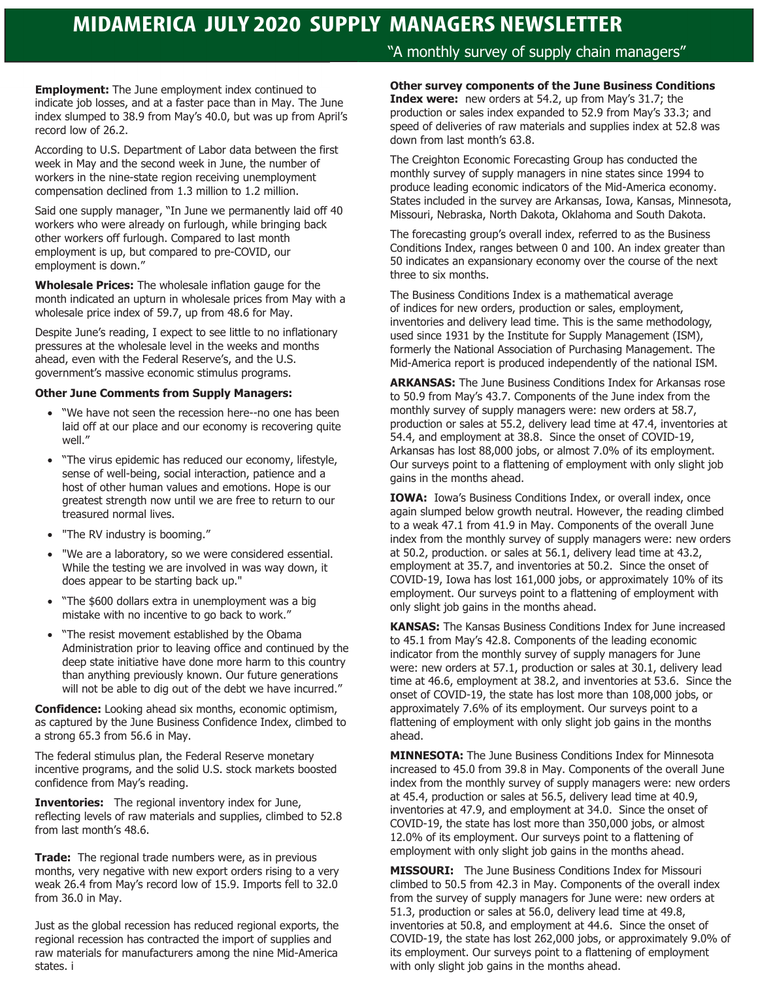# **MIDAMERICA JULY 2020 SUPPLY MANAGERS NEWSLETTER**

**Employment:** The June employment index continued to indicate job losses, and at a faster pace than in May. The June index slumped to 38.9 from May's 40.0, but was up from April's record low of 26.2.

According to U.S. Department of Labor data between the first week in May and the second week in June, the number of workers in the nine-state region receiving unemployment compensation declined from 1.3 million to 1.2 million.

Said one supply manager, "In June we permanently laid off 40 workers who were already on furlough, while bringing back other workers off furlough. Compared to last month employment is up, but compared to pre-COVID, our employment is down."

**Wholesale Prices:** The wholesale inflation gauge for the month indicated an upturn in wholesale prices from May with a wholesale price index of 59.7, up from 48.6 for May.

Despite June's reading, I expect to see little to no inflationary pressures at the wholesale level in the weeks and months ahead, even with the Federal Reserve's, and the U.S. government's massive economic stimulus programs.

#### **Other June Comments from Supply Managers:**

- "We have not seen the recession here--no one has been laid off at our place and our economy is recovering quite well."
- "The virus epidemic has reduced our economy, lifestyle, sense of well-being, social interaction, patience and a host of other human values and emotions. Hope is our greatest strength now until we are free to return to our treasured normal lives.
- "The RV industry is booming."
- "We are a laboratory, so we were considered essential. While the testing we are involved in was way down, it does appear to be starting back up."
- "The \$600 dollars extra in unemployment was a big mistake with no incentive to go back to work."
- "The resist movement established by the Obama Administration prior to leaving office and continued by the deep state initiative have done more harm to this country than anything previously known. Our future generations will not be able to dig out of the debt we have incurred."

**Confidence:** Looking ahead six months, economic optimism, as captured by the June Business Confidence Index, climbed to a strong 65.3 from 56.6 in May.

The federal stimulus plan, the Federal Reserve monetary incentive programs, and the solid U.S. stock markets boosted confidence from May's reading.

**Inventories:** The regional inventory index for June, reflecting levels of raw materials and supplies, climbed to 52.8 from last month's 48.6.

**Trade:** The regional trade numbers were, as in previous months, very negative with new export orders rising to a very weak 26.4 from May's record low of 15.9. Imports fell to 32.0 from 36.0 in May.

Just as the global recession has reduced regional exports, the regional recession has contracted the import of supplies and raw materials for manufacturers among the nine Mid-America states. i

## "A monthly survey of supply chain managers"

#### **Other survey components of the June Business Conditions**

**Index were:** new orders at 54.2, up from May's 31.7; the production or sales index expanded to 52.9 from May's 33.3; and speed of deliveries of raw materials and supplies index at 52.8 was down from last month's 63.8.

The Creighton Economic Forecasting Group has conducted the monthly survey of supply managers in nine states since 1994 to produce leading economic indicators of the Mid-America economy. States included in the survey are Arkansas, Iowa, Kansas, Minnesota, Missouri, Nebraska, North Dakota, Oklahoma and South Dakota.

The forecasting group's overall index, referred to as the Business Conditions Index, ranges between 0 and 100. An index greater than 50 indicates an expansionary economy over the course of the next three to six months.

The Business Conditions Index is a mathematical average of indices for new orders, production or sales, employment, inventories and delivery lead time. This is the same methodology, used since 1931 by the Institute for Supply Management (ISM), formerly the National Association of Purchasing Management. The Mid-America report is produced independently of the national ISM.

**ARKANSAS:** The June Business Conditions Index for Arkansas rose to 50.9 from May's 43.7. Components of the June index from the monthly survey of supply managers were: new orders at 58.7, production or sales at 55.2, delivery lead time at 47.4, inventories at 54.4, and employment at 38.8. Since the onset of COVID-19, Arkansas has lost 88,000 jobs, or almost 7.0% of its employment. Our surveys point to a flattening of employment with only slight job gains in the months ahead.

**IOWA:** Iowa's Business Conditions Index, or overall index, once again slumped below growth neutral. However, the reading climbed to a weak 47.1 from 41.9 in May. Components of the overall June index from the monthly survey of supply managers were: new orders at 50.2, production. or sales at 56.1, delivery lead time at 43.2, employment at 35.7, and inventories at 50.2. Since the onset of COVID-19, Iowa has lost 161,000 jobs, or approximately 10% of its employment. Our surveys point to a flattening of employment with only slight job gains in the months ahead.

**KANSAS:** The Kansas Business Conditions Index for June increased to 45.1 from May's 42.8. Components of the leading economic indicator from the monthly survey of supply managers for June were: new orders at 57.1, production or sales at 30.1, delivery lead time at 46.6, employment at 38.2, and inventories at 53.6. Since the onset of COVID-19, the state has lost more than 108,000 jobs, or approximately 7.6% of its employment. Our surveys point to a flattening of employment with only slight job gains in the months ahead.

**MINNESOTA:** The June Business Conditions Index for Minnesota increased to 45.0 from 39.8 in May. Components of the overall June index from the monthly survey of supply managers were: new orders at 45.4, production or sales at 56.5, delivery lead time at 40.9, inventories at 47.9, and employment at 34.0. Since the onset of COVID-19, the state has lost more than 350,000 jobs, or almost 12.0% of its employment. Our surveys point to a flattening of employment with only slight job gains in the months ahead.

**MISSOURI:** The June Business Conditions Index for Missouri climbed to 50.5 from 42.3 in May. Components of the overall index from the survey of supply managers for June were: new orders at 51.3, production or sales at 56.0, delivery lead time at 49.8, inventories at 50.8, and employment at 44.6. Since the onset of COVID-19, the state has lost 262,000 jobs, or approximately 9.0% of its employment. Our surveys point to a flattening of employment with only slight job gains in the months ahead.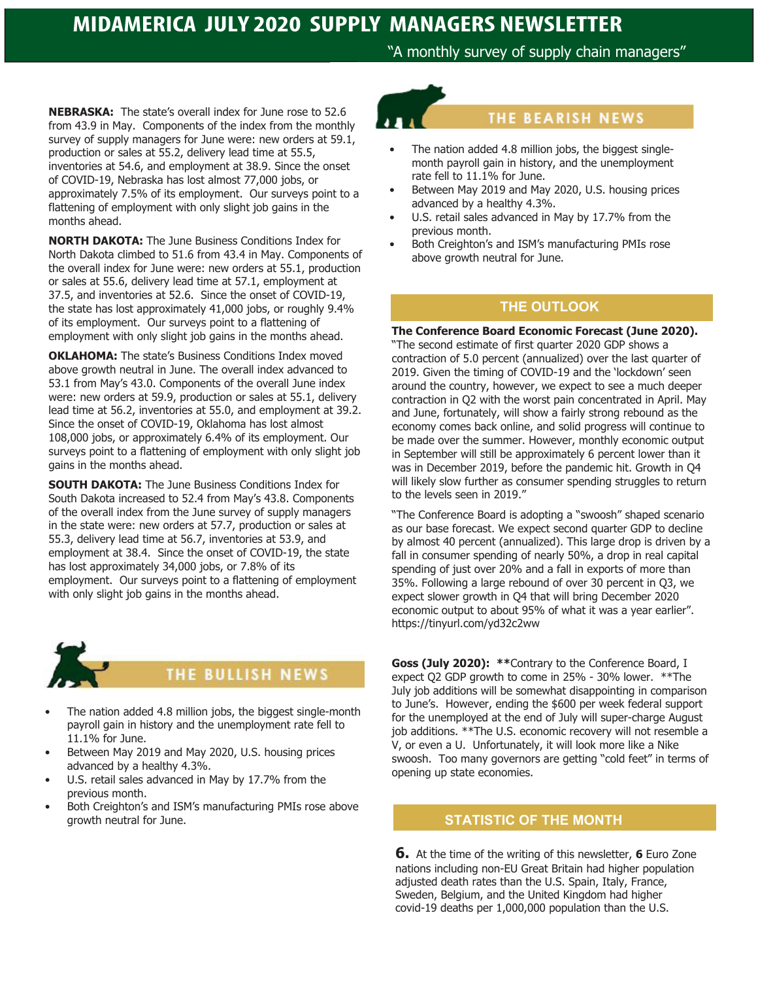"A monthly survey of supply chain managers"

**NEBRASKA:** The state's overall index for June rose to 52.6 from 43.9 in May. Components of the index from the monthly survey of supply managers for June were: new orders at 59.1, production or sales at 55.2, delivery lead time at 55.5, inventories at 54.6, and employment at 38.9. Since the onset of COVID-19, Nebraska has lost almost 77,000 jobs, or approximately 7.5% of its employment. Our surveys point to a flattening of employment with only slight job gains in the months ahead.

**NORTH DAKOTA:** The June Business Conditions Index for North Dakota climbed to 51.6 from 43.4 in May. Components of the overall index for June were: new orders at 55.1, production or sales at 55.6, delivery lead time at 57.1, employment at 37.5, and inventories at 52.6. Since the onset of COVID-19, the state has lost approximately 41,000 jobs, or roughly 9.4% of its employment. Our surveys point to a flattening of employment with only slight job gains in the months ahead.

**OKLAHOMA:** The state's Business Conditions Index moved above growth neutral in June. The overall index advanced to 53.1 from May's 43.0. Components of the overall June index were: new orders at 59.9, production or sales at 55.1, delivery lead time at 56.2, inventories at 55.0, and employment at 39.2. Since the onset of COVID-19, Oklahoma has lost almost 108,000 jobs, or approximately 6.4% of its employment. Our surveys point to a flattening of employment with only slight job gains in the months ahead.

**SOUTH DAKOTA:** The June Business Conditions Index for South Dakota increased to 52.4 from May's 43.8. Components of the overall index from the June survey of supply managers in the state were: new orders at 57.7, production or sales at 55.3, delivery lead time at 56.7, inventories at 53.9, and employment at 38.4. Since the onset of COVID-19, the state has lost approximately 34,000 jobs, or 7.8% of its employment. Our surveys point to a flattening of employment with only slight job gains in the months ahead.



## **THE BULLISH NEWS**

- The nation added 4.8 million jobs, the biggest single-month payroll gain in history and the unemployment rate fell to 11.1% for June.
- Between May 2019 and May 2020, U.S. housing prices advanced by a healthy 4.3%.
- U.S. retail sales advanced in May by 17.7% from the previous month.
- Both Creighton's and ISM's manufacturing PMIs rose above growth neutral for June.

## **THE BEARISH NEWS**

- The nation added 4.8 million jobs, the biggest singlemonth payroll gain in history, and the unemployment rate fell to 11.1% for June.
- Between May 2019 and May 2020, U.S. housing prices advanced by a healthy 4.3%.
- U.S. retail sales advanced in May by 17.7% from the previous month.
- Both Creighton's and ISM's manufacturing PMIs rose above growth neutral for June.

## **THE OUTLOOK**

#### **The Conference Board Economic Forecast (June 2020).**

"The second estimate of first quarter 2020 GDP shows a contraction of 5.0 percent (annualized) over the last quarter of 2019. Given the timing of COVID-19 and the 'lockdown' seen around the country, however, we expect to see a much deeper contraction in Q2 with the worst pain concentrated in April. May and June, fortunately, will show a fairly strong rebound as the economy comes back online, and solid progress will continue to be made over the summer. However, monthly economic output in September will still be approximately 6 percent lower than it was in December 2019, before the pandemic hit. Growth in Q4 will likely slow further as consumer spending struggles to return to the levels seen in 2019."

"The Conference Board is adopting a "swoosh" shaped scenario as our base forecast. We expect second quarter GDP to decline by almost 40 percent (annualized). This large drop is driven by a fall in consumer spending of nearly 50%, a drop in real capital spending of just over 20% and a fall in exports of more than 35%. Following a large rebound of over 30 percent in Q3, we expect slower growth in Q4 that will bring December 2020 economic output to about 95% of what it was a year earlier". https://tinyurl.com/yd32c2ww

**Goss (July 2020): \*\***Contrary to the Conference Board, I expect Q2 GDP growth to come in 25% - 30% lower. \*\*The July job additions will be somewhat disappointing in comparison to June's. However, ending the \$600 per week federal support for the unemployed at the end of July will super-charge August job additions. \*\*The U.S. economic recovery will not resemble a V, or even a U. Unfortunately, it will look more like a Nike swoosh. Too many governors are getting "cold feet" in terms of opening up state economies.

## **STATISTIC OF THE MONTH**

**6.** At the time of the writing of this newsletter, **6** Euro Zone nations including non-EU Great Britain had higher population adjusted death rates than the U.S. Spain, Italy, France, Sweden, Belgium, and the United Kingdom had higher covid-19 deaths per 1,000,000 population than the U.S.